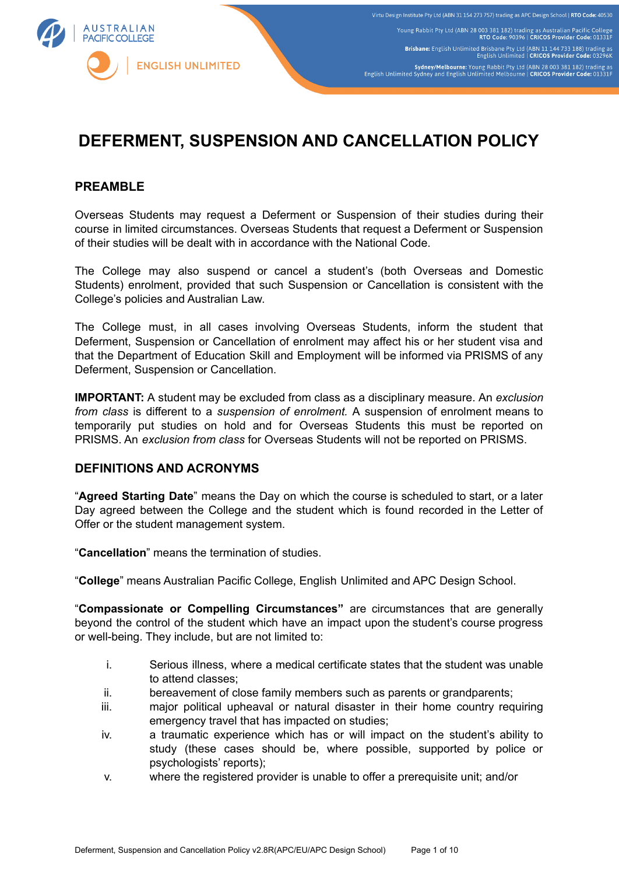

# **DEFERMENT, SUSPENSION AND CANCELLATION POLICY**

# **PREAMBLE**

Overseas Students may request a Deferment or Suspension of their studies during their course in limited circumstances. Overseas Students that request a Deferment or Suspension of their studies will be dealt with in accordance with the National Code.

The College may also suspend or cancel a student's (both Overseas and Domestic Students) enrolment, provided that such Suspension or Cancellation is consistent with the College's policies and Australian Law.

The College must, in all cases involving Overseas Students, inform the student that Deferment, Suspension or Cancellation of enrolment may affect his or her student visa and that the Department of Education Skill and Employment will be informed via PRISMS of any Deferment, Suspension or Cancellation.

**IMPORTANT:** A student may be excluded from class as a disciplinary measure. An *exclusion from class* is different to a *suspension of enrolment.* A suspension of enrolment means to temporarily put studies on hold and for Overseas Students this must be reported on PRISMS. An *exclusion from class* for Overseas Students will not be reported on PRISMS.

#### **DEFINITIONS AND ACRONYMS**

"**Agreed Starting Date**" means the Day on which the course is scheduled to start, or a later Day agreed between the College and the student which is found recorded in the Letter of Offer or the student management system.

"**Cancellation**" means the termination of studies.

"**College**" means Australian Pacific College, English Unlimited and APC Design School.

"**Compassionate or Compelling Circumstances"** are circumstances that are generally beyond the control of the student which have an impact upon the student's course progress or well-being. They include, but are not limited to:

- i. Serious illness, where a medical certificate states that the student was unable to attend classes;
- ii. bereavement of close family members such as parents or grandparents;
- iii. major political upheaval or natural disaster in their home country requiring emergency travel that has impacted on studies;
- iv. a traumatic experience which has or will impact on the student's ability to study (these cases should be, where possible, supported by police or psychologists' reports);
- v. where the registered provider is unable to offer a prerequisite unit; and/or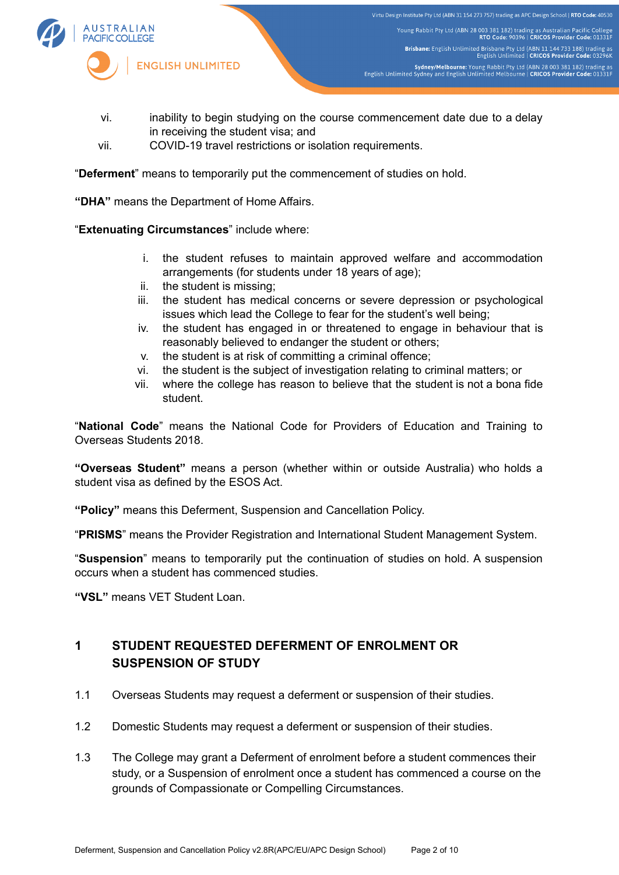

Virtu Design Institute Pty Ltd (ABN 31 154 273 757) trading as APC Design School | RTO Code: 40530 Young Rabbit Pty Ltd (ABN 28 003 381 182) trading as Australian Pacific College<br>RTO Code: 90396 | CRICOS Provider Code: 01331F Brisbane: English Unlimited Brisbane Pty Ltd (ABN 11 144 733 188) trading as<br>English Unlimited | CRICOS Provider Code: 03296K Sydney/Melbourne: Young Rabbit Pty Ltd (ABN 28 003 381 182) trading as<br>English Unlimited Sydney and English Unlimited Melbourne | CRICOS Provider Code: 01331F

- vi. inability to begin studying on the course commencement date due to a delay in receiving the student visa; and
- vii. COVID-19 travel restrictions or isolation requirements.

"**Deferment**" means to temporarily put the commencement of studies on hold.

**"DHA"** means the Department of Home Affairs.

"**Extenuating Circumstances**" include where:

- i. the student refuses to maintain approved welfare and accommodation arrangements (for students under 18 years of age);
- ii. the student is missing;
- iii. the student has medical concerns or severe depression or psychological issues which lead the College to fear for the student's well being;
- iv. the student has engaged in or threatened to engage in behaviour that is reasonably believed to endanger the student or others;
- v. the student is at risk of committing a criminal offence;
- vi. the student is the subject of investigation relating to criminal matters; or
- vii. where the college has reason to believe that the student is not a bona fide student.

"**National Code**" means the National Code for Providers of Education and Training to Overseas Students 2018.

**"Overseas Student"** means a person (whether within or outside Australia) who holds a student visa as defined by the ESOS Act.

**"Policy"** means this Deferment, Suspension and Cancellation Policy.

"**PRISMS**" means the Provider Registration and International Student Management System.

"**Suspension**" means to temporarily put the continuation of studies on hold. A suspension occurs when a student has commenced studies.

**"VSL"** means VET Student Loan.

# **1 STUDENT REQUESTED DEFERMENT OF ENROLMENT OR SUSPENSION OF STUDY**

- 1.1 Overseas Students may request a deferment or suspension of their studies.
- 1.2 Domestic Students may request a deferment or suspension of their studies.
- 1.3 The College may grant a Deferment of enrolment before a student commences their study, or a Suspension of enrolment once a student has commenced a course on the grounds of Compassionate or Compelling Circumstances.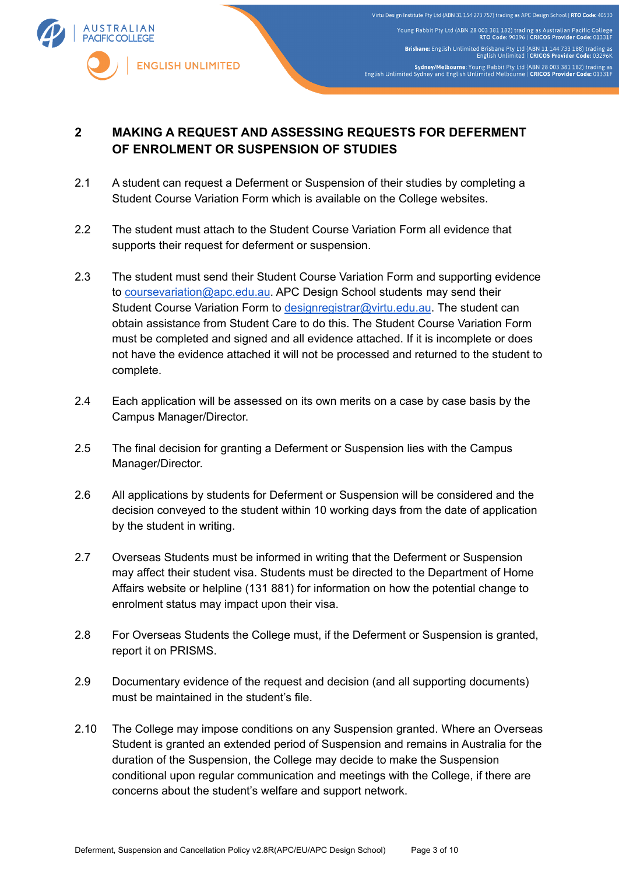

# **2 MAKING A REQUEST AND ASSESSING REQUESTS FOR DEFERMENT OF ENROLMENT OR SUSPENSION OF STUDIES**

- 2.1 A student can request a Deferment or Suspension of their studies by completing a Student Course Variation Form which is available on the College websites.
- 2.2 The student must attach to the Student Course Variation Form all evidence that supports their request for deferment or suspension.
- 2.3 The student must send their Student Course Variation Form and supporting evidence to [coursevariation@apc.edu.au](mailto:coursevariation@apc.edu.au). APC Design School students may send their Student Course Variation Form to [designregistrar@virtu.edu.au](mailto:designregistrar@virtu.edu.au). The student can obtain assistance from Student Care to do this. The Student Course Variation Form must be completed and signed and all evidence attached. If it is incomplete or does not have the evidence attached it will not be processed and returned to the student to complete.
- 2.4 Each application will be assessed on its own merits on a case by case basis by the Campus Manager/Director.
- 2.5 The final decision for granting a Deferment or Suspension lies with the Campus Manager/Director.
- 2.6 All applications by students for Deferment or Suspension will be considered and the decision conveyed to the student within 10 working days from the date of application by the student in writing.
- 2.7 Overseas Students must be informed in writing that the Deferment or Suspension may affect their student visa. Students must be directed to the Department of Home Affairs website or helpline (131 881) for information on how the potential change to enrolment status may impact upon their visa.
- 2.8 For Overseas Students the College must, if the Deferment or Suspension is granted, report it on PRISMS.
- 2.9 Documentary evidence of the request and decision (and all supporting documents) must be maintained in the student's file.
- 2.10 The College may impose conditions on any Suspension granted. Where an Overseas Student is granted an extended period of Suspension and remains in Australia for the duration of the Suspension, the College may decide to make the Suspension conditional upon regular communication and meetings with the College, if there are concerns about the student's welfare and support network.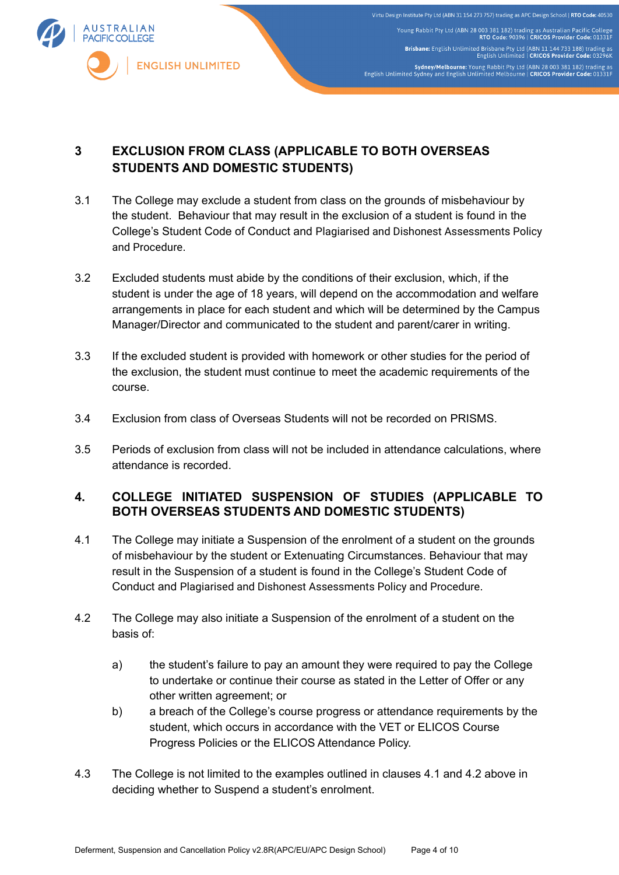

Virtu Design Institute Pty Ltd (ABN 31 154 273 757) trading as APC Design School | RTO Code: 40530 Young Rabbit Pty Ltd (ABN 28 003 381 182) trading as Australian Pacific College<br>RTO Code: 90396 | CRICOS Provider Code: 01331F Brisbane: English Unlimited Brisbane Pty Ltd (ABN 11 144 733 188) trading as<br>English Unlimited | CRICOS Provider Code: 03296K Sydney/Melbourne: Young Rabbit Pty Ltd (ABN 28 003 381 182) trading as<br>English Unlimited Sydney and English Unlimited Melbourne | CRICOS Provider Code: 01331F

# **3 EXCLUSION FROM CLASS (APPLICABLE TO BOTH OVERSEAS STUDENTS AND DOMESTIC STUDENTS)**

- 3.1 The College may exclude a student from class on the grounds of misbehaviour by the student. Behaviour that may result in the exclusion of a student is found in the College's Student Code of Conduct and Plagiarised and Dishonest Assessments Policy and Procedure.
- 3.2 Excluded students must abide by the conditions of their exclusion, which, if the student is under the age of 18 years, will depend on the accommodation and welfare arrangements in place for each student and which will be determined by the Campus Manager/Director and communicated to the student and parent/carer in writing.
- 3.3 If the excluded student is provided with homework or other studies for the period of the exclusion, the student must continue to meet the academic requirements of the course.
- 3.4 Exclusion from class of Overseas Students will not be recorded on PRISMS.
- 3.5 Periods of exclusion from class will not be included in attendance calculations, where attendance is recorded.

# **4. COLLEGE INITIATED SUSPENSION OF STUDIES (APPLICABLE TO BOTH OVERSEAS STUDENTS AND DOMESTIC STUDENTS)**

- 4.1 The College may initiate a Suspension of the enrolment of a student on the grounds of misbehaviour by the student or Extenuating Circumstances. Behaviour that may result in the Suspension of a student is found in the College's Student Code of Conduct and Plagiarised and Dishonest Assessments Policy and Procedure.
- 4.2 The College may also initiate a Suspension of the enrolment of a student on the basis of:
	- a) the student's failure to pay an amount they were required to pay the College to undertake or continue their course as stated in the Letter of Offer or any other written agreement; or
	- b) a breach of the College's course progress or attendance requirements by the student, which occurs in accordance with the VET or ELICOS Course Progress Policies or the ELICOS Attendance Policy.
- 4.3 The College is not limited to the examples outlined in clauses 4.1 and 4.2 above in deciding whether to Suspend a student's enrolment.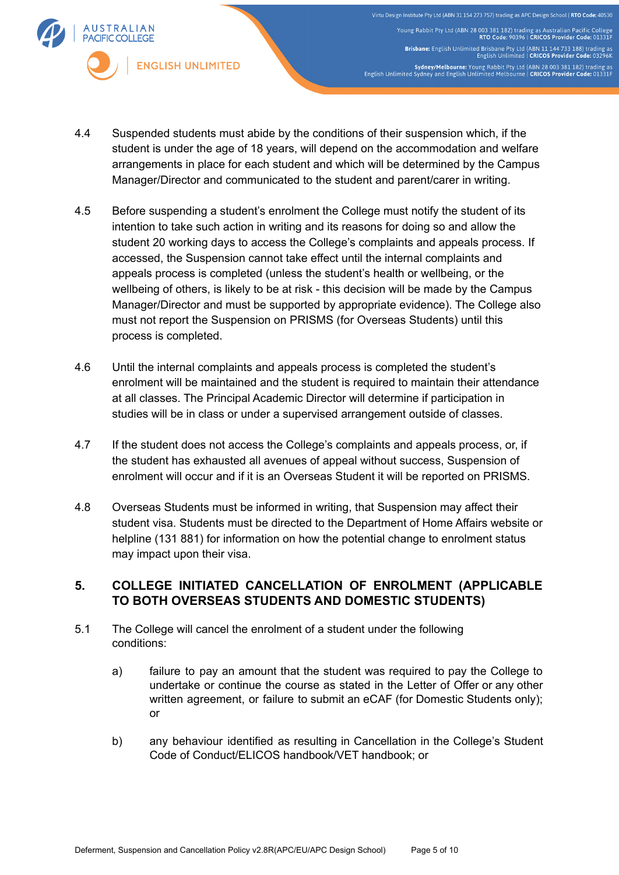

Virtu Design Institute Pty Ltd (ABN 31 154 273 757) trading as APC Design School | RTO Code: 40530 Young Rabbit Pty Ltd (ABN 28 003 381 182) trading as Australian Pacific College<br>RTO Code: 90396 | CRICOS Provider Code: 01331F Brisbane: English Unlimited Brisbane Pty Ltd (ABN 11 144 733 188) trading as<br>English Unlimited | CRICOS Provider Code: 03296K Sydney/Melbourne: Young Rabbit Pty Ltd (ABN 28 003 381 182) trading as<br>English Unlimited Sydney and English Unlimited Melbourne | CRICOS Provider Code: 01331F

- 4.4 Suspended students must abide by the conditions of their suspension which, if the student is under the age of 18 years, will depend on the accommodation and welfare arrangements in place for each student and which will be determined by the Campus Manager/Director and communicated to the student and parent/carer in writing.
- 4.5 Before suspending a student's enrolment the College must notify the student of its intention to take such action in writing and its reasons for doing so and allow the student 20 working days to access the College's complaints and appeals process. If accessed, the Suspension cannot take effect until the internal complaints and appeals process is completed (unless the student's health or wellbeing, or the wellbeing of others, is likely to be at risk - this decision will be made by the Campus Manager/Director and must be supported by appropriate evidence). The College also must not report the Suspension on PRISMS (for Overseas Students) until this process is completed.
- 4.6 Until the internal complaints and appeals process is completed the student's enrolment will be maintained and the student is required to maintain their attendance at all classes. The Principal Academic Director will determine if participation in studies will be in class or under a supervised arrangement outside of classes.
- 4.7 If the student does not access the College's complaints and appeals process, or, if the student has exhausted all avenues of appeal without success, Suspension of enrolment will occur and if it is an Overseas Student it will be reported on PRISMS.
- 4.8 Overseas Students must be informed in writing, that Suspension may affect their student visa. Students must be directed to the Department of Home Affairs website or helpline (131 881) for information on how the potential change to enrolment status may impact upon their visa.

# **5. COLLEGE INITIATED CANCELLATION OF ENROLMENT (APPLICABLE TO BOTH OVERSEAS STUDENTS AND DOMESTIC STUDENTS)**

- 5.1 The College will cancel the enrolment of a student under the following conditions:
	- a) failure to pay an amount that the student was required to pay the College to undertake or continue the course as stated in the Letter of Offer or any other written agreement, or failure to submit an eCAF (for Domestic Students only); or
	- b) any behaviour identified as resulting in Cancellation in the College's Student Code of Conduct/ELICOS handbook/VET handbook; or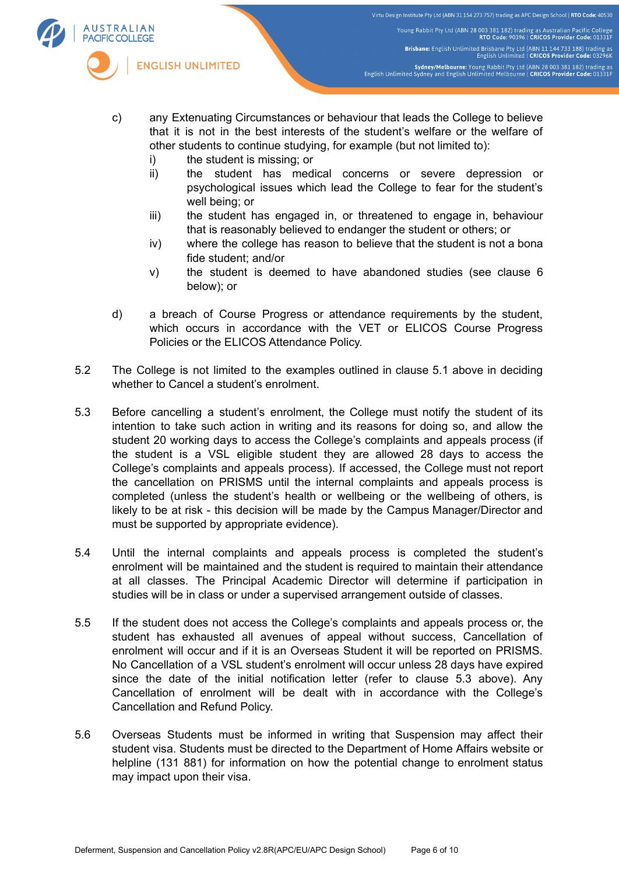

- c) any Extenuating Circumstances or behaviour that leads the College to believe that it is not in the best interests of the student's welfare or the welfare of other students to continue studying, for example (but not limited to):
	- i) the student is missing; or
	- ii) the student has medical concerns or severe depression or psychological issues which lead the College to fear for the student's well being; or
	- iii) the student has engaged in, or threatened to engage in, behaviour that is reasonably believed to endanger the student or others; or
	- iv) where the college has reason to believe that the student is not a bona fide student; and/or
	- v) the student is deemed to have abandoned studies (see clause 6 below); or
- d) a breach of Course Progress or attendance requirements by the student, which occurs in accordance with the VET or ELICOS Course Progress Policies or the ELICOS Attendance Policy.
- 5.2 The College is not limited to the examples outlined in clause 5.1 above in deciding whether to Cancel a student's enrolment.
- 5.3 Before cancelling a student's enrolment, the College must notify the student of its intention to take such action in writing and its reasons for doing so, and allow the student 20 working days to access the College's complaints and appeals process (if the student is a VSL eligible student they are allowed 28 days to access the College's complaints and appeals process). If accessed, the College must not report the cancellation on PRISMS until the internal complaints and appeals process is completed (unless the student's health or wellbeing or the wellbeing of others, is likely to be at risk - this decision will be made by the Campus Manager/Director and must be supported by appropriate evidence).
- 5.4 Until the internal complaints and appeals process is completed the student's enrolment will be maintained and the student is required to maintain their attendance at all classes. The Principal Academic Director will determine if participation in studies will be in class or under a supervised arrangement outside of classes.
- 5.5 If the student does not access the College's complaints and appeals process or, the student has exhausted all avenues of appeal without success, Cancellation of enrolment will occur and if it is an Overseas Student it will be reported on PRISMS. No Cancellation of a VSL student's enrolment will occur unless 28 days have expired since the date of the initial notification letter (refer to clause 5.3 above). Any Cancellation of enrolment will be dealt with in accordance with the College's Cancellation and Refund Policy.
- 5.6 Overseas Students must be informed in writing that Suspension may affect their student visa. Students must be directed to the Department of Home Affairs website or helpline (131 881) for information on how the potential change to enrolment status may impact upon their visa.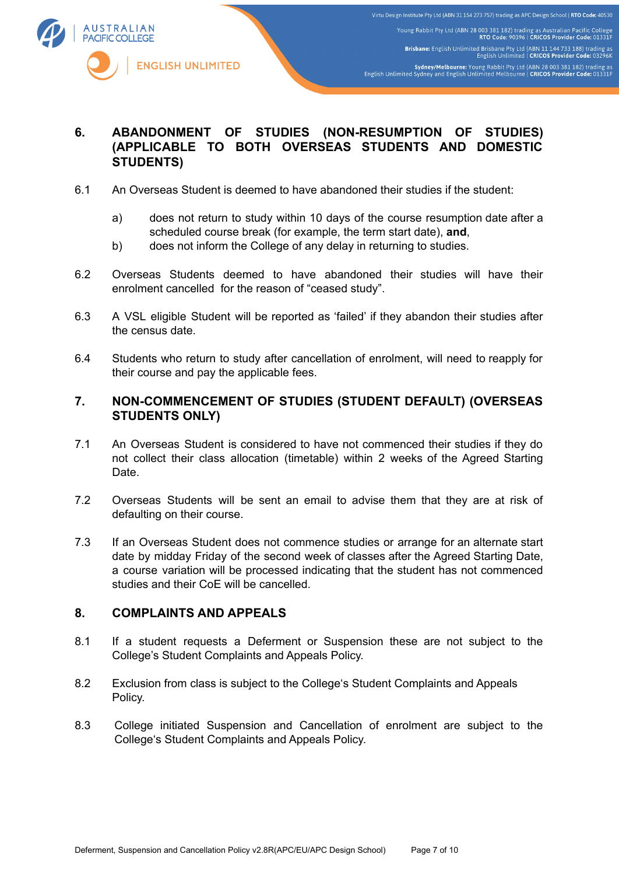

# **6. ABANDONMENT OF STUDIES (NON-RESUMPTION OF STUDIES) (APPLICABLE TO BOTH OVERSEAS STUDENTS AND DOMESTIC STUDENTS)**

- 6.1 An Overseas Student is deemed to have abandoned their studies if the student:
	- a) does not return to study within 10 days of the course resumption date after a scheduled course break (for example, the term start date), **and**,
	- b) does not inform the College of any delay in returning to studies.
- 6.2 Overseas Students deemed to have abandoned their studies will have their enrolment cancelled for the reason of "ceased study".
- 6.3 A VSL eligible Student will be reported as 'failed' if they abandon their studies after the census date.
- 6.4 Students who return to study after cancellation of enrolment, will need to reapply for their course and pay the applicable fees.

# **7. NON-COMMENCEMENT OF STUDIES (STUDENT DEFAULT) (OVERSEAS STUDENTS ONLY)**

- 7.1 An Overseas Student is considered to have not commenced their studies if they do not collect their class allocation (timetable) within 2 weeks of the Agreed Starting Date.
- 7.2 Overseas Students will be sent an email to advise them that they are at risk of defaulting on their course.
- 7.3 If an Overseas Student does not commence studies or arrange for an alternate start date by midday Friday of the second week of classes after the Agreed Starting Date, a course variation will be processed indicating that the student has not commenced studies and their CoE will be cancelled.

#### **8. COMPLAINTS AND APPEALS**

- 8.1 If a student requests a Deferment or Suspension these are not subject to the College's Student Complaints and Appeals Policy.
- 8.2 Exclusion from class is subject to the College's Student Complaints and Appeals Policy.
- 8.3 College initiated Suspension and Cancellation of enrolment are subject to the College's Student Complaints and Appeals Policy.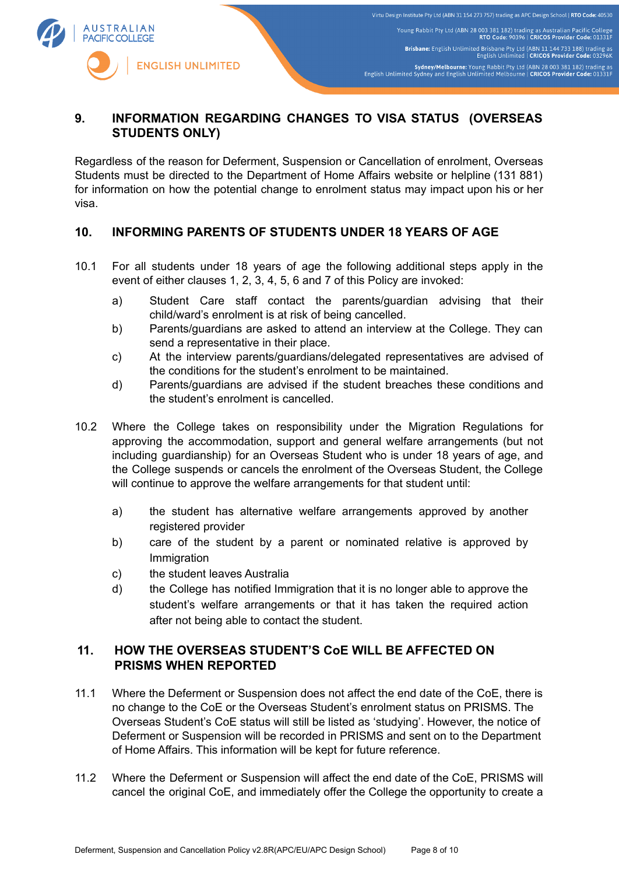

# **9. INFORMATION REGARDING CHANGES TO VISA STATUS (OVERSEAS STUDENTS ONLY)**

Regardless of the reason for Deferment, Suspension or Cancellation of enrolment, Overseas Students must be directed to the Department of Home Affairs website or helpline (131 881) for information on how the potential change to enrolment status may impact upon his or her visa.

# **10. INFORMING PARENTS OF STUDENTS UNDER 18 YEARS OF AGE**

- 10.1 For all students under 18 years of age the following additional steps apply in the event of either clauses 1, 2, 3, 4, 5, 6 and 7 of this Policy are invoked:
	- a) Student Care staff contact the parents/guardian advising that their child/ward's enrolment is at risk of being cancelled.
	- b) Parents/guardians are asked to attend an interview at the College. They can send a representative in their place.
	- c) At the interview parents/guardians/delegated representatives are advised of the conditions for the student's enrolment to be maintained.
	- d) Parents/guardians are advised if the student breaches these conditions and the student's enrolment is cancelled.
- 10.2 Where the College takes on responsibility under the Migration Regulations for approving the accommodation, support and general welfare arrangements (but not including guardianship) for an Overseas Student who is under 18 years of age, and the College suspends or cancels the enrolment of the Overseas Student, the College will continue to approve the welfare arrangements for that student until:
	- a) the student has alternative welfare arrangements approved by another registered provider
	- b) care of the student by a parent or nominated relative is approved by Immigration
	- c) the student leaves Australia
	- d) the College has notified Immigration that it is no longer able to approve the student's welfare arrangements or that it has taken the required action after not being able to contact the student.

# **11. HOW THE OVERSEAS STUDENT'S CoE WILL BE AFFECTED ON PRISMS WHEN REPORTED**

- 11.1 Where the Deferment or Suspension does not affect the end date of the CoE, there is no change to the CoE or the Overseas Student's enrolment status on PRISMS. The Overseas Student's CoE status will still be listed as 'studying'. However, the notice of Deferment or Suspension will be recorded in PRISMS and sent on to the Department of Home Affairs. This information will be kept for future reference.
- 11.2 Where the Deferment or Suspension will affect the end date of the CoE, PRISMS will cancel the original CoE, and immediately offer the College the opportunity to create a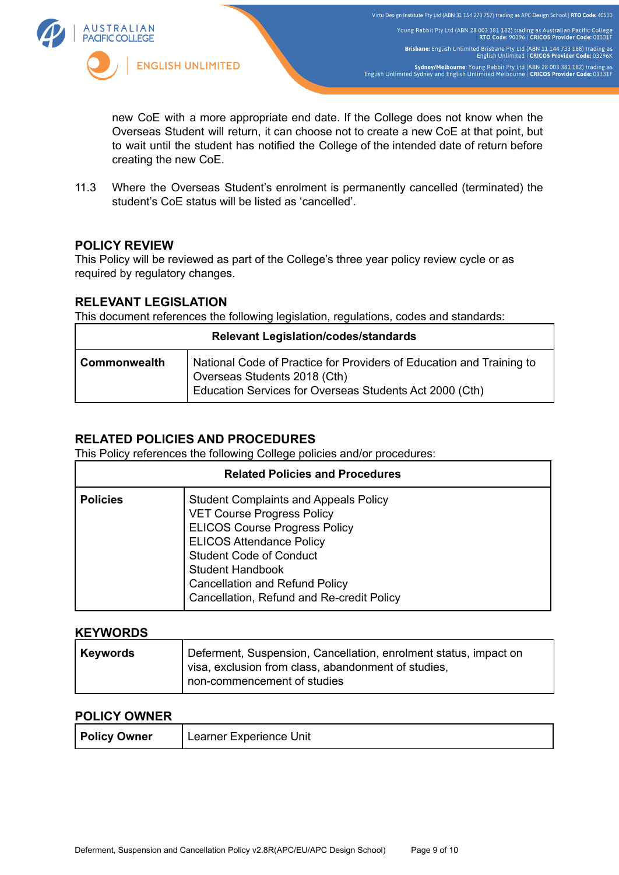

new CoE with a more appropriate end date. If the College does not know when the Overseas Student will return, it can choose not to create a new CoE at that point, but to wait until the student has notified the College of the intended date of return before creating the new CoE.

11.3 Where the Overseas Student's enrolment is permanently cancelled (terminated) the student's CoE status will be listed as 'cancelled'.

# **POLICY REVIEW**

This Policy will be reviewed as part of the College's three year policy review cycle or as required by regulatory changes.

# **RELEVANT LEGISLATION**

This document references the following legislation, regulations, codes and standards:

| <b>Relevant Legislation/codes/standards</b> |                                                                                                                                                                 |  |  |  |
|---------------------------------------------|-----------------------------------------------------------------------------------------------------------------------------------------------------------------|--|--|--|
| <b>Commonwealth</b>                         | National Code of Practice for Providers of Education and Training to<br>Overseas Students 2018 (Cth)<br>Education Services for Overseas Students Act 2000 (Cth) |  |  |  |

# **RELATED POLICIES AND PROCEDURES**

This Policy references the following College policies and/or procedures:

| <b>Related Policies and Procedures</b> |                                                                                                                                                                                                                                                                                                                 |  |  |  |
|----------------------------------------|-----------------------------------------------------------------------------------------------------------------------------------------------------------------------------------------------------------------------------------------------------------------------------------------------------------------|--|--|--|
| <b>Policies</b>                        | <b>Student Complaints and Appeals Policy</b><br><b>VET Course Progress Policy</b><br><b>ELICOS Course Progress Policy</b><br><b>ELICOS Attendance Policy</b><br><b>Student Code of Conduct</b><br><b>Student Handbook</b><br><b>Cancellation and Refund Policy</b><br>Cancellation, Refund and Re-credit Policy |  |  |  |

#### **KEYWORDS**

| <b>Keywords</b> | Deferment, Suspension, Cancellation, enrolment status, impact on<br>visa, exclusion from class, abandonment of studies, |
|-----------------|-------------------------------------------------------------------------------------------------------------------------|
|                 | non-commencement of studies                                                                                             |

#### **POLICY OWNER**

| <b>Policy Owner</b> | Learner Experience Unit |
|---------------------|-------------------------|
|---------------------|-------------------------|